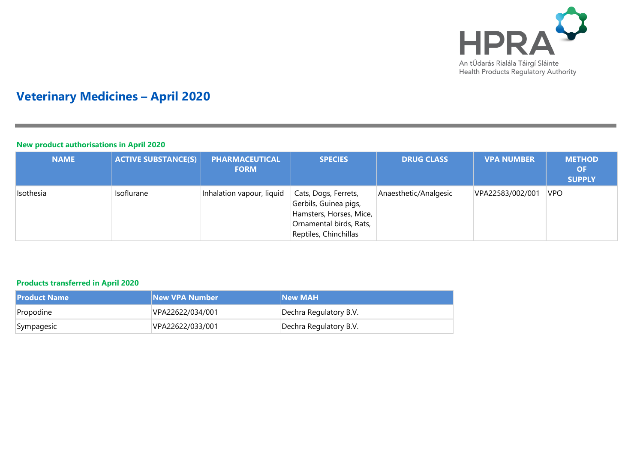

# **Veterinary Medicines – April 2020**

## **New product authorisations in April 2020**

| <b>NAME</b> | <b>ACTIVE SUBSTANCE(S)</b> | <b>PHARMACEUTICAL</b><br><b>FORM</b> | <b>SPECIES</b>                                                                                                               | <b>DRUG CLASS</b>     | <b>VPA NUMBER</b> | <b>METHOD</b><br><b>OF</b><br><b>SUPPLY</b> |
|-------------|----------------------------|--------------------------------------|------------------------------------------------------------------------------------------------------------------------------|-----------------------|-------------------|---------------------------------------------|
| Isothesia   | Isoflurane                 | Inhalation vapour, liquid            | Cats, Dogs, Ferrets,<br>Gerbils, Guinea pigs,<br>Hamsters, Horses, Mice,<br>Ornamental birds, Rats,<br>Reptiles, Chinchillas | Anaesthetic/Analgesic | VPA22583/002/001  | <b>VPO</b>                                  |

## **Products transferred in April 2020**

| <b>Product Name</b> | New VPA Number   | <b>New MAH</b>         |
|---------------------|------------------|------------------------|
| Propodine           | VPA22622/034/001 | Dechra Regulatory B.V. |
| Sympagesic          | VPA22622/033/001 | Dechra Regulatory B.V. |